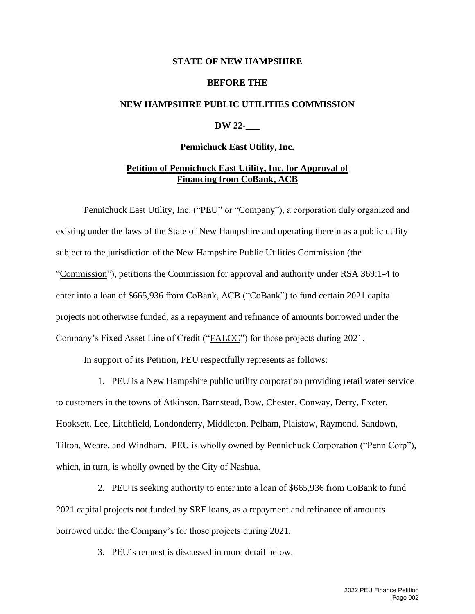#### **STATE OF NEW HAMPSHIRE**

#### **BEFORE THE**

### **NEW HAMPSHIRE PUBLIC UTILITIES COMMISSION**

## **DW 22-\_\_\_**

#### **Pennichuck East Utility, Inc.**

## **Petition of Pennichuck East Utility, Inc. for Approval of Financing from CoBank, ACB**

Pennichuck East Utility, Inc. ("PEU" or "Company"), a corporation duly organized and existing under the laws of the State of New Hampshire and operating therein as a public utility subject to the jurisdiction of the New Hampshire Public Utilities Commission (the "Commission"), petitions the Commission for approval and authority under RSA 369:1-4 to enter into a loan of \$665,936 from CoBank, ACB ("CoBank") to fund certain 2021 capital projects not otherwise funded, as a repayment and refinance of amounts borrowed under the Company's Fixed Asset Line of Credit ("FALOC") for those projects during 2021.

In support of its Petition, PEU respectfully represents as follows:

1. PEU is a New Hampshire public utility corporation providing retail water service to customers in the towns of Atkinson, Barnstead, Bow, Chester, Conway, Derry, Exeter, Hooksett, Lee, Litchfield, Londonderry, Middleton, Pelham, Plaistow, Raymond, Sandown, Tilton, Weare, and Windham. PEU is wholly owned by Pennichuck Corporation ("Penn Corp"), which, in turn, is wholly owned by the City of Nashua.

2. PEU is seeking authority to enter into a loan of \$665,936 from CoBank to fund 2021 capital projects not funded by SRF loans, as a repayment and refinance of amounts borrowed under the Company's for those projects during 2021.

3. PEU's request is discussed in more detail below.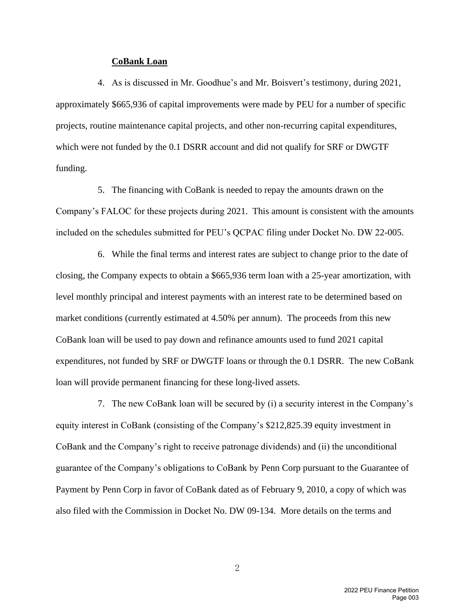#### **CoBank Loan**

4. As is discussed in Mr. Goodhue's and Mr. Boisvert's testimony, during 2021, approximately \$665,936 of capital improvements were made by PEU for a number of specific projects, routine maintenance capital projects, and other non-recurring capital expenditures, which were not funded by the 0.1 DSRR account and did not qualify for SRF or DWGTF funding.

5. The financing with CoBank is needed to repay the amounts drawn on the Company's FALOC for these projects during 2021. This amount is consistent with the amounts included on the schedules submitted for PEU's QCPAC filing under Docket No. DW 22-005.

6. While the final terms and interest rates are subject to change prior to the date of closing, the Company expects to obtain a \$665,936 term loan with a 25-year amortization, with level monthly principal and interest payments with an interest rate to be determined based on market conditions (currently estimated at 4.50% per annum). The proceeds from this new CoBank loan will be used to pay down and refinance amounts used to fund 2021 capital expenditures, not funded by SRF or DWGTF loans or through the 0.1 DSRR. The new CoBank loan will provide permanent financing for these long-lived assets.

7. The new CoBank loan will be secured by (i) a security interest in the Company's equity interest in CoBank (consisting of the Company's \$212,825.39 equity investment in CoBank and the Company's right to receive patronage dividends) and (ii) the unconditional guarantee of the Company's obligations to CoBank by Penn Corp pursuant to the Guarantee of Payment by Penn Corp in favor of CoBank dated as of February 9, 2010, a copy of which was also filed with the Commission in Docket No. DW 09-134. More details on the terms and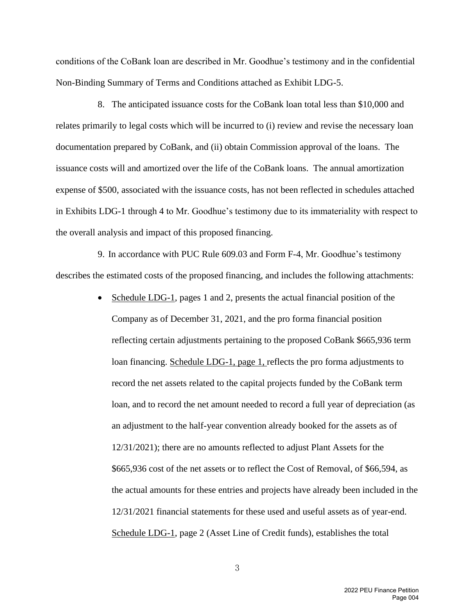conditions of the CoBank loan are described in Mr. Goodhue's testimony and in the confidential Non-Binding Summary of Terms and Conditions attached as Exhibit LDG-5.

8. The anticipated issuance costs for the CoBank loan total less than \$10,000 and relates primarily to legal costs which will be incurred to (i) review and revise the necessary loan documentation prepared by CoBank, and (ii) obtain Commission approval of the loans. The issuance costs will and amortized over the life of the CoBank loans. The annual amortization expense of \$500, associated with the issuance costs, has not been reflected in schedules attached in Exhibits LDG-1 through 4 to Mr. Goodhue's testimony due to its immateriality with respect to the overall analysis and impact of this proposed financing.

9. In accordance with PUC Rule 609.03 and Form F-4, Mr. Goodhue's testimony describes the estimated costs of the proposed financing, and includes the following attachments:

> • Schedule LDG-1, pages 1 and 2, presents the actual financial position of the Company as of December 31, 2021, and the pro forma financial position reflecting certain adjustments pertaining to the proposed CoBank \$665,936 term loan financing. Schedule LDG-1, page 1, reflects the pro forma adjustments to record the net assets related to the capital projects funded by the CoBank term loan, and to record the net amount needed to record a full year of depreciation (as an adjustment to the half-year convention already booked for the assets as of 12/31/2021); there are no amounts reflected to adjust Plant Assets for the \$665,936 cost of the net assets or to reflect the Cost of Removal, of \$66,594, as the actual amounts for these entries and projects have already been included in the 12/31/2021 financial statements for these used and useful assets as of year-end. Schedule LDG-1, page 2 (Asset Line of Credit funds), establishes the total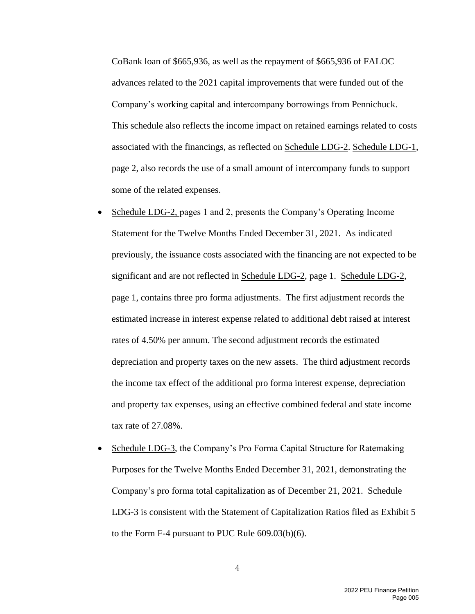CoBank loan of \$665,936, as well as the repayment of \$665,936 of FALOC advances related to the 2021 capital improvements that were funded out of the Company's working capital and intercompany borrowings from Pennichuck. This schedule also reflects the income impact on retained earnings related to costs associated with the financings, as reflected on Schedule LDG-2. Schedule LDG-1, page 2, also records the use of a small amount of intercompany funds to support some of the related expenses.

- Schedule LDG-2, pages 1 and 2, presents the Company's Operating Income Statement for the Twelve Months Ended December 31, 2021. As indicated previously, the issuance costs associated with the financing are not expected to be significant and are not reflected in Schedule LDG-2, page 1. Schedule LDG-2, page 1, contains three pro forma adjustments. The first adjustment records the estimated increase in interest expense related to additional debt raised at interest rates of 4.50% per annum. The second adjustment records the estimated depreciation and property taxes on the new assets. The third adjustment records the income tax effect of the additional pro forma interest expense, depreciation and property tax expenses, using an effective combined federal and state income tax rate of 27.08%.
- Schedule LDG-3, the Company's Pro Forma Capital Structure for Ratemaking Purposes for the Twelve Months Ended December 31, 2021, demonstrating the Company's pro forma total capitalization as of December 21, 2021. Schedule LDG-3 is consistent with the Statement of Capitalization Ratios filed as Exhibit 5 to the Form F-4 pursuant to PUC Rule 609.03(b)(6).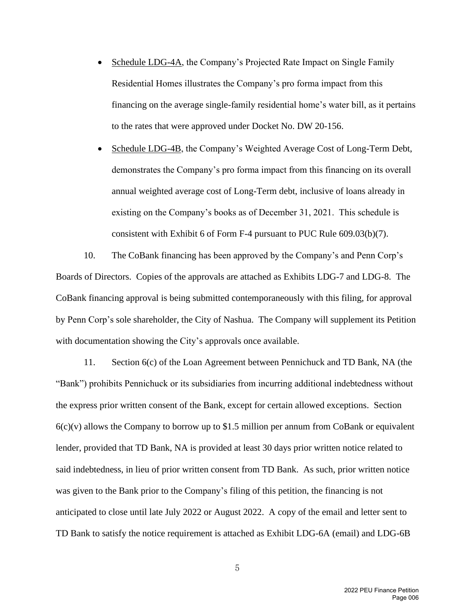• Schedule LDG-4A, the Company's Projected Rate Impact on Single Family Residential Homes illustrates the Company's pro forma impact from this financing on the average single-family residential home's water bill, as it pertains to the rates that were approved under Docket No. DW 20-156.

• Schedule LDG-4B, the Company's Weighted Average Cost of Long-Term Debt, demonstrates the Company's pro forma impact from this financing on its overall annual weighted average cost of Long-Term debt, inclusive of loans already in existing on the Company's books as of December 31, 2021. This schedule is consistent with Exhibit 6 of Form F-4 pursuant to PUC Rule 609.03(b)(7).

10. The CoBank financing has been approved by the Company's and Penn Corp's Boards of Directors. Copies of the approvals are attached as Exhibits LDG-7 and LDG-8. The CoBank financing approval is being submitted contemporaneously with this filing, for approval by Penn Corp's sole shareholder, the City of Nashua. The Company will supplement its Petition with documentation showing the City's approvals once available.

11. Section 6(c) of the Loan Agreement between Pennichuck and TD Bank, NA (the "Bank") prohibits Pennichuck or its subsidiaries from incurring additional indebtedness without the express prior written consent of the Bank, except for certain allowed exceptions. Section  $6(c)(v)$  allows the Company to borrow up to \$1.5 million per annum from CoBank or equivalent lender, provided that TD Bank, NA is provided at least 30 days prior written notice related to said indebtedness, in lieu of prior written consent from TD Bank. As such, prior written notice was given to the Bank prior to the Company's filing of this petition, the financing is not anticipated to close until late July 2022 or August 2022. A copy of the email and letter sent to TD Bank to satisfy the notice requirement is attached as Exhibit LDG-6A (email) and LDG-6B

> 2022 PEU Finance Petition Page 006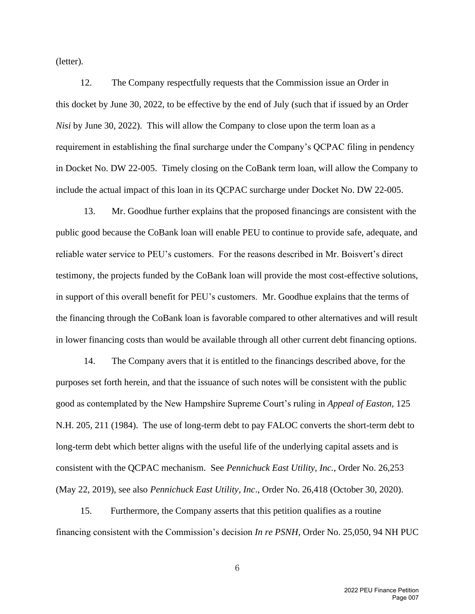(letter).

12. The Company respectfully requests that the Commission issue an Order in this docket by June 30, 2022, to be effective by the end of July (such that if issued by an Order *Nisi* by June 30, 2022). This will allow the Company to close upon the term loan as a requirement in establishing the final surcharge under the Company's QCPAC filing in pendency in Docket No. DW 22-005. Timely closing on the CoBank term loan, will allow the Company to include the actual impact of this loan in its QCPAC surcharge under Docket No. DW 22-005.

13. Mr. Goodhue further explains that the proposed financings are consistent with the public good because the CoBank loan will enable PEU to continue to provide safe, adequate, and reliable water service to PEU's customers. For the reasons described in Mr. Boisvert's direct testimony, the projects funded by the CoBank loan will provide the most cost-effective solutions, in support of this overall benefit for PEU's customers. Mr. Goodhue explains that the terms of the financing through the CoBank loan is favorable compared to other alternatives and will result in lower financing costs than would be available through all other current debt financing options.

14. The Company avers that it is entitled to the financings described above, for the purposes set forth herein, and that the issuance of such notes will be consistent with the public good as contemplated by the New Hampshire Supreme Court's ruling in *Appeal of Easton,* 125 N.H. 205, 211 (1984). The use of long-term debt to pay FALOC converts the short-term debt to long-term debt which better aligns with the useful life of the underlying capital assets and is consistent with the QCPAC mechanism. See *Pennichuck East Utility, Inc.*, Order No. 26,253 (May 22, 2019), see also *Pennichuck East Utility, Inc*., Order No. 26,418 (October 30, 2020).

15. Furthermore, the Company asserts that this petition qualifies as a routine financing consistent with the Commission's decision *In re PSNH,* Order No. 25,050, 94 NH PUC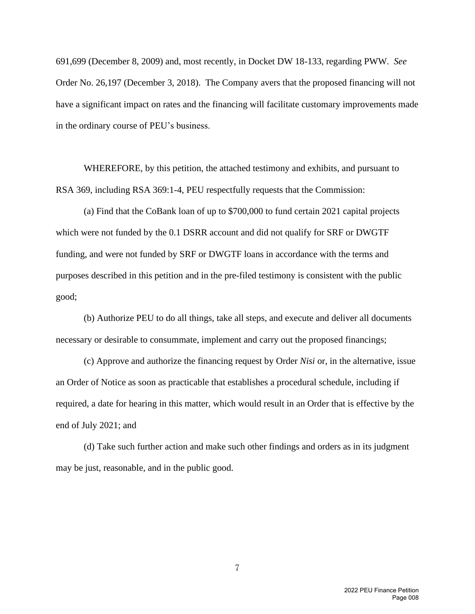691,699 (December 8, 2009) and, most recently, in Docket DW 18-133, regarding PWW. *See* Order No. 26,197 (December 3, 2018). The Company avers that the proposed financing will not have a significant impact on rates and the financing will facilitate customary improvements made in the ordinary course of PEU's business.

WHEREFORE, by this petition, the attached testimony and exhibits, and pursuant to RSA 369, including RSA 369:1-4, PEU respectfully requests that the Commission:

(a) Find that the CoBank loan of up to \$700,000 to fund certain 2021 capital projects which were not funded by the 0.1 DSRR account and did not qualify for SRF or DWGTF funding, and were not funded by SRF or DWGTF loans in accordance with the terms and purposes described in this petition and in the pre-filed testimony is consistent with the public good;

(b) Authorize PEU to do all things, take all steps, and execute and deliver all documents necessary or desirable to consummate, implement and carry out the proposed financings;

(c) Approve and authorize the financing request by Order *Nisi* or, in the alternative, issue an Order of Notice as soon as practicable that establishes a procedural schedule, including if required, a date for hearing in this matter, which would result in an Order that is effective by the end of July 2021; and

(d) Take such further action and make such other findings and orders as in its judgment may be just, reasonable, and in the public good.